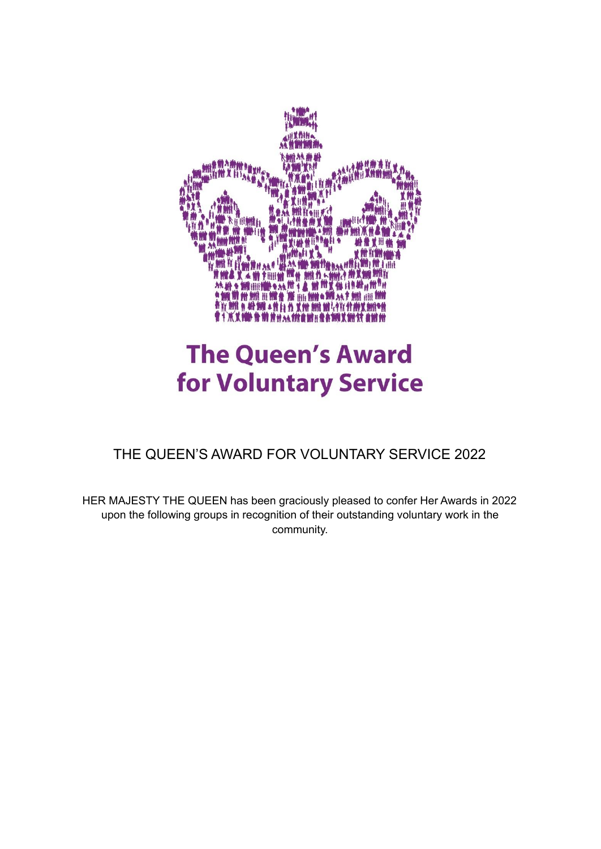

## **The Queen's Award for Voluntary Service**

THE QUEEN'S AWARD FOR VOLUNTARY SERVICE 2022

HER MAJESTY THE QUEEN has been graciously pleased to confer Her Awards in 2022 upon the following groups in recognition of their outstanding voluntary work in the community.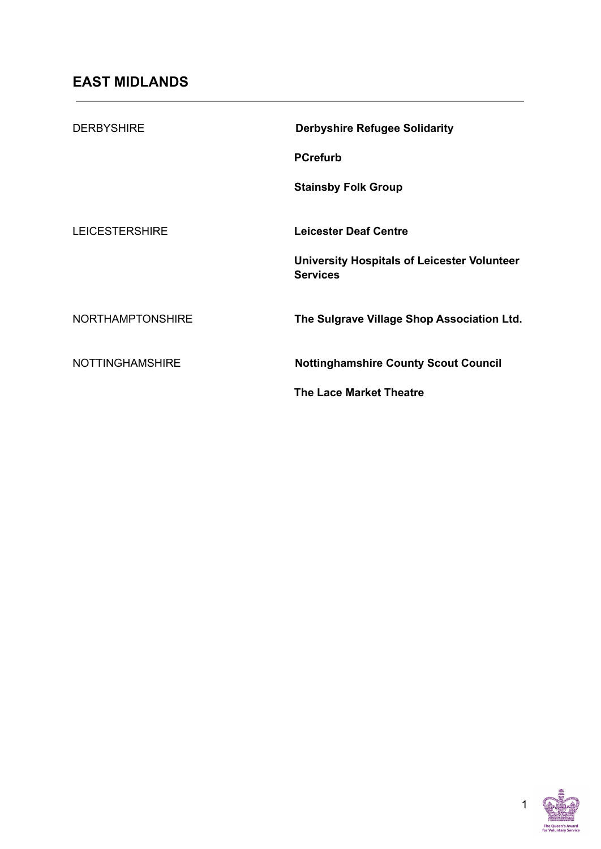| <b>DERBYSHIRE</b>       | <b>Derbyshire Refugee Solidarity</b>                                  |
|-------------------------|-----------------------------------------------------------------------|
|                         | <b>PCrefurb</b>                                                       |
|                         | <b>Stainsby Folk Group</b>                                            |
|                         |                                                                       |
| <b>LEICESTERSHIRE</b>   | <b>Leicester Deaf Centre</b>                                          |
|                         | <b>University Hospitals of Leicester Volunteer</b><br><b>Services</b> |
| <b>NORTHAMPTONSHIRE</b> | The Sulgrave Village Shop Association Ltd.                            |
| <b>NOTTINGHAMSHIRE</b>  | <b>Nottinghamshire County Scout Council</b>                           |
|                         | <b>The Lace Market Theatre</b>                                        |

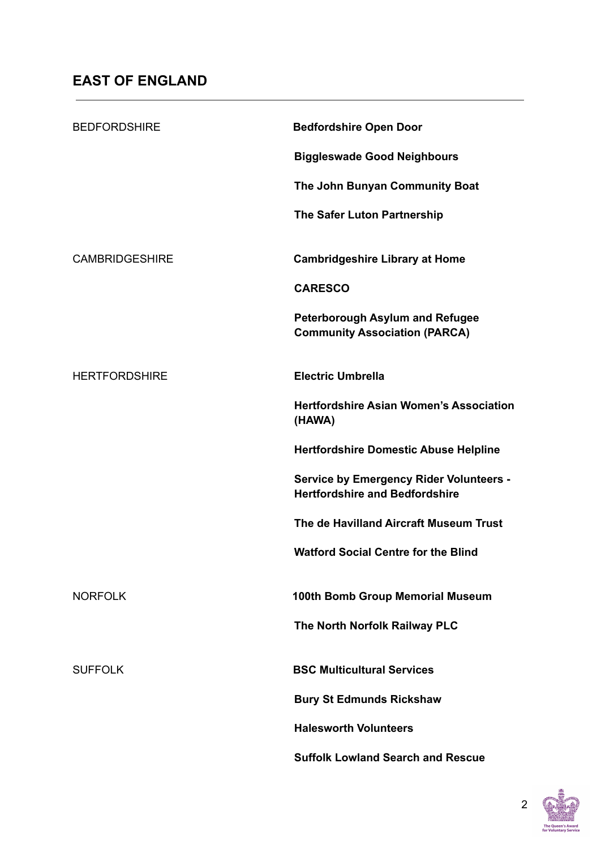| <b>BEDFORDSHIRE</b>   | <b>Bedfordshire Open Door</b>                                                           |
|-----------------------|-----------------------------------------------------------------------------------------|
|                       | <b>Biggleswade Good Neighbours</b>                                                      |
|                       | The John Bunyan Community Boat                                                          |
|                       | The Safer Luton Partnership                                                             |
| <b>CAMBRIDGESHIRE</b> | <b>Cambridgeshire Library at Home</b>                                                   |
|                       | <b>CARESCO</b>                                                                          |
|                       | <b>Peterborough Asylum and Refugee</b><br><b>Community Association (PARCA)</b>          |
| <b>HERTFORDSHIRE</b>  | <b>Electric Umbrella</b>                                                                |
|                       | <b>Hertfordshire Asian Women's Association</b><br>(HAWA)                                |
|                       | <b>Hertfordshire Domestic Abuse Helpline</b>                                            |
|                       | <b>Service by Emergency Rider Volunteers -</b><br><b>Hertfordshire and Bedfordshire</b> |
|                       | The de Havilland Aircraft Museum Trust                                                  |
|                       | <b>Watford Social Centre for the Blind</b>                                              |
| <b>NORFOLK</b>        | 100th Bomb Group Memorial Museum                                                        |
|                       | The North Norfolk Railway PLC                                                           |
| <b>SUFFOLK</b>        | <b>BSC Multicultural Services</b>                                                       |
|                       | <b>Bury St Edmunds Rickshaw</b>                                                         |
|                       | <b>Halesworth Volunteers</b>                                                            |
|                       | <b>Suffolk Lowland Search and Rescue</b>                                                |

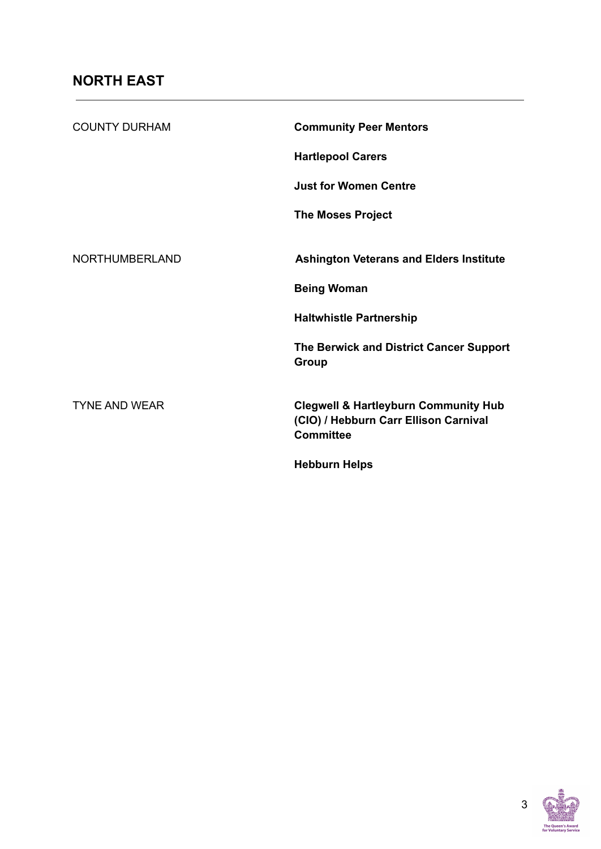| <b>COUNTY DURHAM</b>  | <b>Community Peer Mentors</b>                                                                                |
|-----------------------|--------------------------------------------------------------------------------------------------------------|
|                       | <b>Hartlepool Carers</b>                                                                                     |
|                       | <b>Just for Women Centre</b>                                                                                 |
|                       | <b>The Moses Project</b>                                                                                     |
|                       |                                                                                                              |
| <b>NORTHUMBERLAND</b> | <b>Ashington Veterans and Elders Institute</b>                                                               |
|                       | <b>Being Woman</b>                                                                                           |
|                       | <b>Haltwhistle Partnership</b>                                                                               |
|                       | The Berwick and District Cancer Support<br>Group                                                             |
| <b>TYNE AND WEAR</b>  | <b>Clegwell &amp; Hartleyburn Community Hub</b><br>(CIO) / Hebburn Carr Ellison Carnival<br><b>Committee</b> |
|                       | <b>Hebburn Helps</b>                                                                                         |

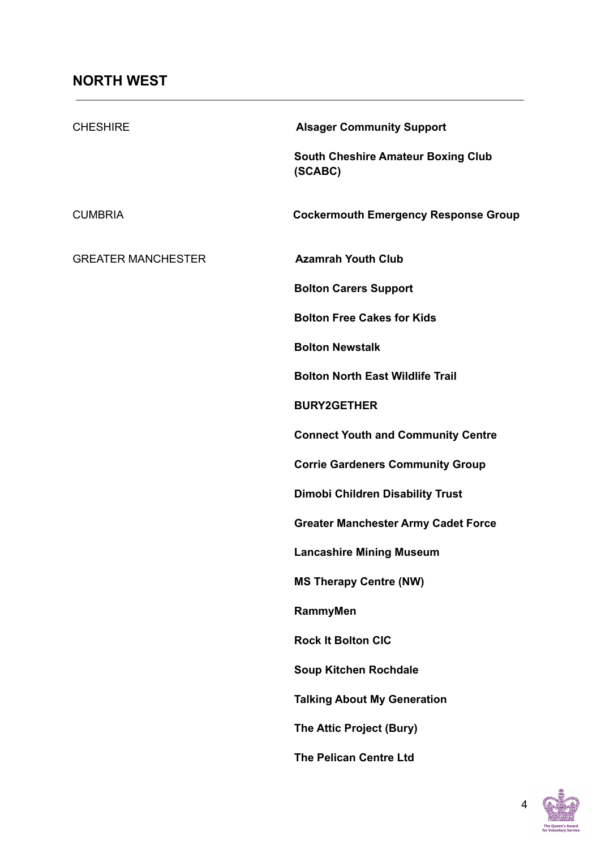| <b>CHESHIRE</b>           | <b>Alsager Community Support</b>                     |
|---------------------------|------------------------------------------------------|
|                           | <b>South Cheshire Amateur Boxing Club</b><br>(SCABC) |
| <b>CUMBRIA</b>            | <b>Cockermouth Emergency Response Group</b>          |
| <b>GREATER MANCHESTER</b> | <b>Azamrah Youth Club</b>                            |
|                           | <b>Bolton Carers Support</b>                         |
|                           | <b>Bolton Free Cakes for Kids</b>                    |
|                           | <b>Bolton Newstalk</b>                               |
|                           | <b>Bolton North East Wildlife Trail</b>              |
|                           | <b>BURY2GETHER</b>                                   |
|                           | <b>Connect Youth and Community Centre</b>            |
|                           | <b>Corrie Gardeners Community Group</b>              |
|                           | <b>Dimobi Children Disability Trust</b>              |
|                           | <b>Greater Manchester Army Cadet Force</b>           |
|                           | <b>Lancashire Mining Museum</b>                      |
|                           | <b>MS Therapy Centre (NW)</b>                        |
|                           | RammyMen                                             |
|                           | <b>Rock It Bolton CIC</b>                            |
|                           | <b>Soup Kitchen Rochdale</b>                         |
|                           | <b>Talking About My Generation</b>                   |
|                           | The Attic Project (Bury)                             |
|                           | <b>The Pelican Centre Ltd</b>                        |

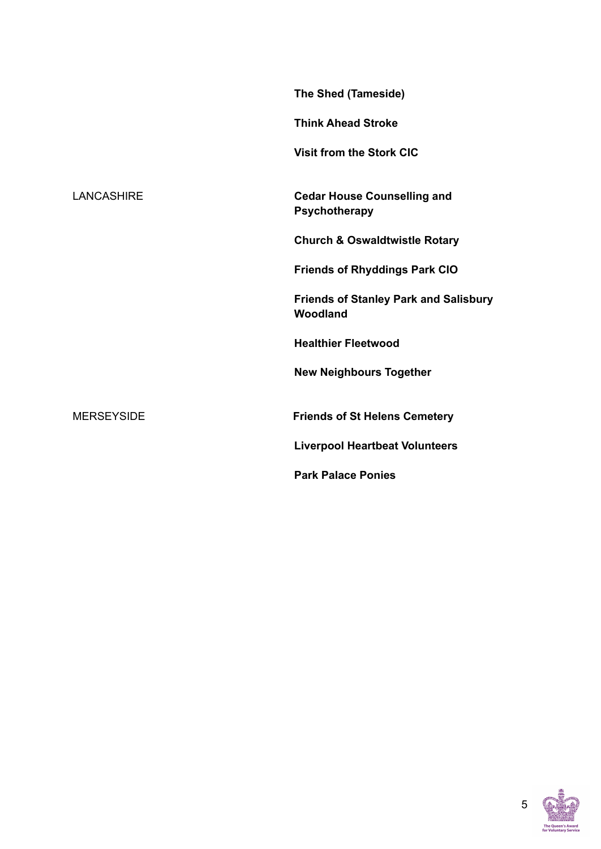|                   | The Shed (Tameside)                                      |
|-------------------|----------------------------------------------------------|
|                   | <b>Think Ahead Stroke</b>                                |
|                   | <b>Visit from the Stork CIC</b>                          |
| <b>LANCASHIRE</b> | <b>Cedar House Counselling and</b><br>Psychotherapy      |
|                   | <b>Church &amp; Oswaldtwistle Rotary</b>                 |
|                   | <b>Friends of Rhyddings Park CIO</b>                     |
|                   | <b>Friends of Stanley Park and Salisbury</b><br>Woodland |
|                   | <b>Healthier Fleetwood</b>                               |
|                   | <b>New Neighbours Together</b>                           |
| <b>MERSEYSIDE</b> | <b>Friends of St Helens Cemetery</b>                     |
|                   | <b>Liverpool Heartbeat Volunteers</b>                    |
|                   | <b>Park Palace Ponies</b>                                |

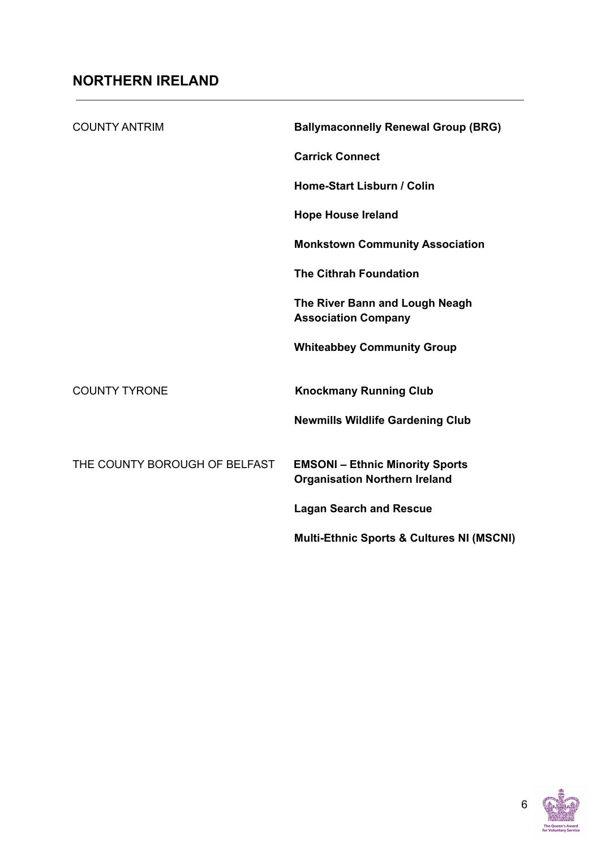| <b>COUNTY ANTRIM</b>          | <b>Ballymaconnelly Renewal Group (BRG)</b>                                     |
|-------------------------------|--------------------------------------------------------------------------------|
|                               | <b>Carrick Connect</b>                                                         |
|                               | Home-Start Lisburn / Colin                                                     |
|                               | <b>Hope House Ireland</b>                                                      |
|                               | <b>Monkstown Community Association</b>                                         |
|                               | <b>The Cithrah Foundation</b>                                                  |
|                               | The River Bann and Lough Neagh<br><b>Association Company</b>                   |
|                               | <b>Whiteabbey Community Group</b>                                              |
| <b>COUNTY TYRONE</b>          | <b>Knockmany Running Club</b>                                                  |
|                               | <b>Newmills Wildlife Gardening Club</b>                                        |
| THE COUNTY BOROUGH OF BELFAST | <b>EMSONI - Ethnic Minority Sports</b><br><b>Organisation Northern Ireland</b> |
|                               | <b>Lagan Search and Rescue</b>                                                 |
|                               | <b>Multi-Ethnic Sports &amp; Cultures NI (MSCNI)</b>                           |

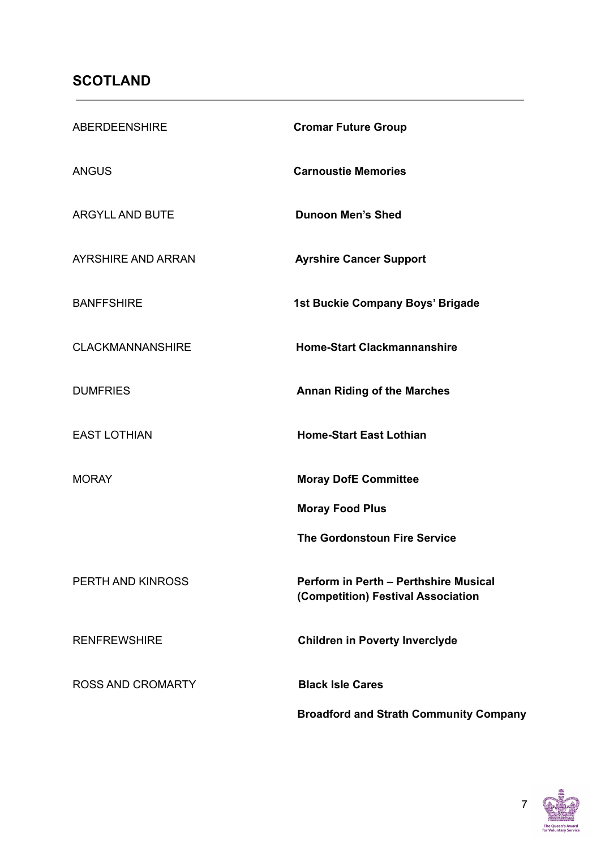## **SCOTLAND**

| ABERDEENSHIRE            | <b>Cromar Future Group</b>                                                  |
|--------------------------|-----------------------------------------------------------------------------|
| ANGUS                    | <b>Carnoustie Memories</b>                                                  |
| <b>ARGYLL AND BUTE</b>   | <b>Dunoon Men's Shed</b>                                                    |
| AYRSHIRE AND ARRAN       | <b>Ayrshire Cancer Support</b>                                              |
| <b>BANFFSHIRE</b>        | 1st Buckie Company Boys' Brigade                                            |
| <b>CLACKMANNANSHIRE</b>  | <b>Home-Start Clackmannanshire</b>                                          |
| <b>DUMFRIES</b>          | <b>Annan Riding of the Marches</b>                                          |
| <b>EAST LOTHIAN</b>      | <b>Home-Start East Lothian</b>                                              |
| <b>MORAY</b>             | <b>Moray DofE Committee</b>                                                 |
|                          | <b>Moray Food Plus</b>                                                      |
|                          | <b>The Gordonstoun Fire Service</b>                                         |
| PERTH AND KINROSS        | Perform in Perth - Perthshire Musical<br>(Competition) Festival Association |
| <b>RENFREWSHIRE</b>      | <b>Children in Poverty Inverclyde</b>                                       |
| <b>ROSS AND CROMARTY</b> | <b>Black Isle Cares</b>                                                     |
|                          | <b>Broadford and Strath Community Company</b>                               |

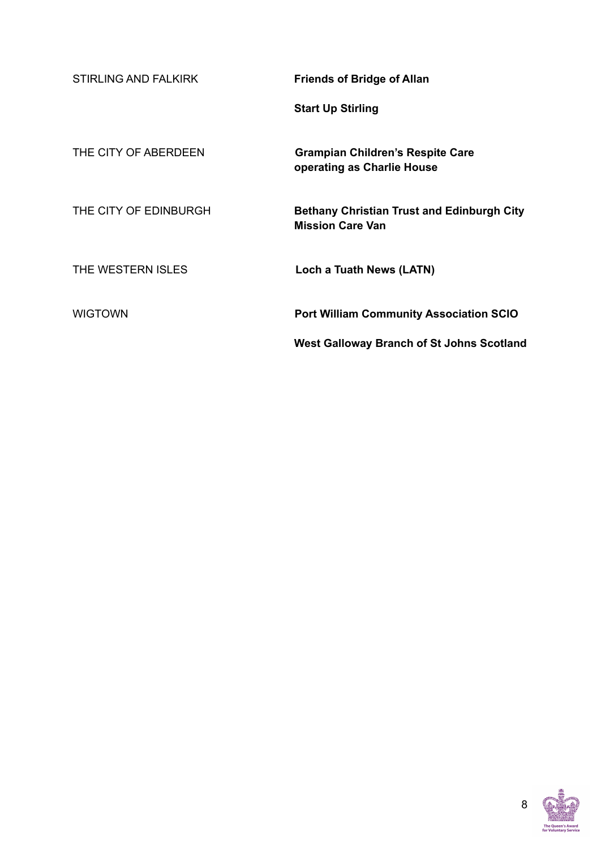| <b>STIRLING AND FALKIRK</b> | <b>Friends of Bridge of Allan</b>                                            |
|-----------------------------|------------------------------------------------------------------------------|
|                             | <b>Start Up Stirling</b>                                                     |
| THE CITY OF ABERDEEN        | <b>Grampian Children's Respite Care</b><br>operating as Charlie House        |
| THE CITY OF EDINBURGH       | <b>Bethany Christian Trust and Edinburgh City</b><br><b>Mission Care Van</b> |
| THE WESTERN ISLES           | Loch a Tuath News (LATN)                                                     |
| <b>WIGTOWN</b>              | <b>Port William Community Association SCIO</b>                               |
|                             | <b>West Galloway Branch of St Johns Scotland</b>                             |

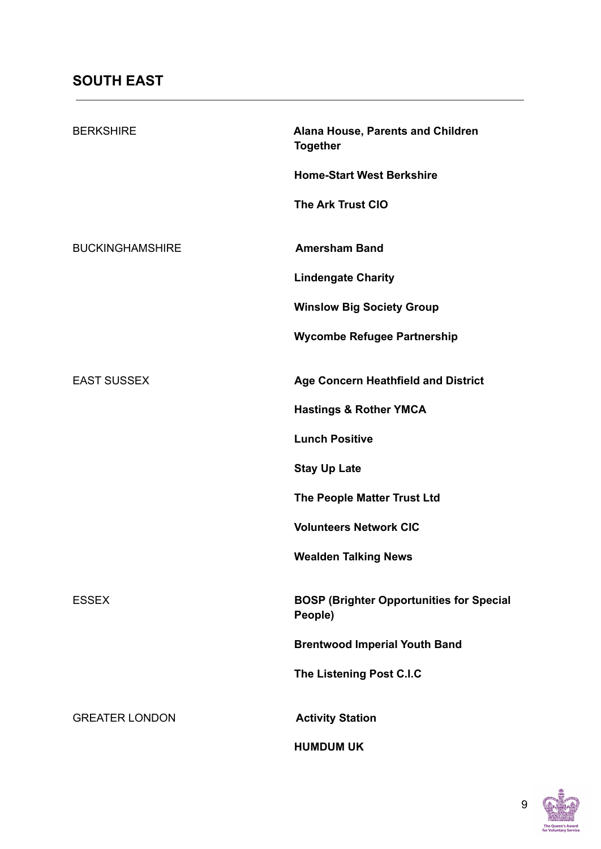| <b>BERKSHIRE</b>       | Alana House, Parents and Children<br><b>Together</b>       |
|------------------------|------------------------------------------------------------|
|                        | <b>Home-Start West Berkshire</b>                           |
|                        | The Ark Trust CIO                                          |
| <b>BUCKINGHAMSHIRE</b> | <b>Amersham Band</b>                                       |
|                        | <b>Lindengate Charity</b>                                  |
|                        | <b>Winslow Big Society Group</b>                           |
|                        | <b>Wycombe Refugee Partnership</b>                         |
| <b>EAST SUSSEX</b>     | Age Concern Heathfield and District                        |
|                        | <b>Hastings &amp; Rother YMCA</b>                          |
|                        | <b>Lunch Positive</b>                                      |
|                        | <b>Stay Up Late</b>                                        |
|                        | The People Matter Trust Ltd                                |
|                        | <b>Volunteers Network CIC</b>                              |
|                        | <b>Wealden Talking News</b>                                |
| <b>ESSEX</b>           | <b>BOSP (Brighter Opportunities for Special</b><br>People) |
|                        | <b>Brentwood Imperial Youth Band</b>                       |
|                        | The Listening Post C.I.C                                   |
| <b>GREATER LONDON</b>  | <b>Activity Station</b>                                    |
|                        | <b>HUMDUM UK</b>                                           |

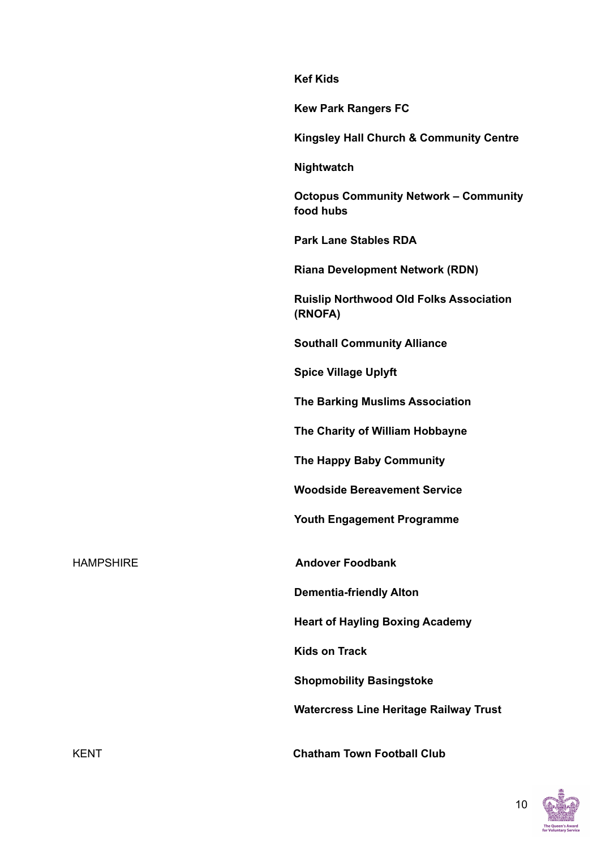**Kef Kids**

**Kew Park Rangers FC**

**Kingsley Hall Church & Community Centre**

**Nightwatch**

**Octopus Community Network – Community food hubs**

**Park Lane Stables RDA**

**Riana Development Network (RDN)**

**Ruislip Northwood Old Folks Association (RNOFA)**

**Southall Community Alliance**

**Spice Village Uplyft**

**The Barking Muslims Association**

**The Charity of William Hobbayne**

**The Happy Baby Community**

**Woodside Bereavement Service**

**Youth Engagement Programme**

HAMPSHIRE **Andover Foodbank**

**Dementia-friendly Alton**

**Heart of Hayling Boxing Academy**

**Kids on Track**

**Shopmobility Basingstoke**

**Watercress Line Heritage Railway Trust**

KENT **Chatham Town Football Club**

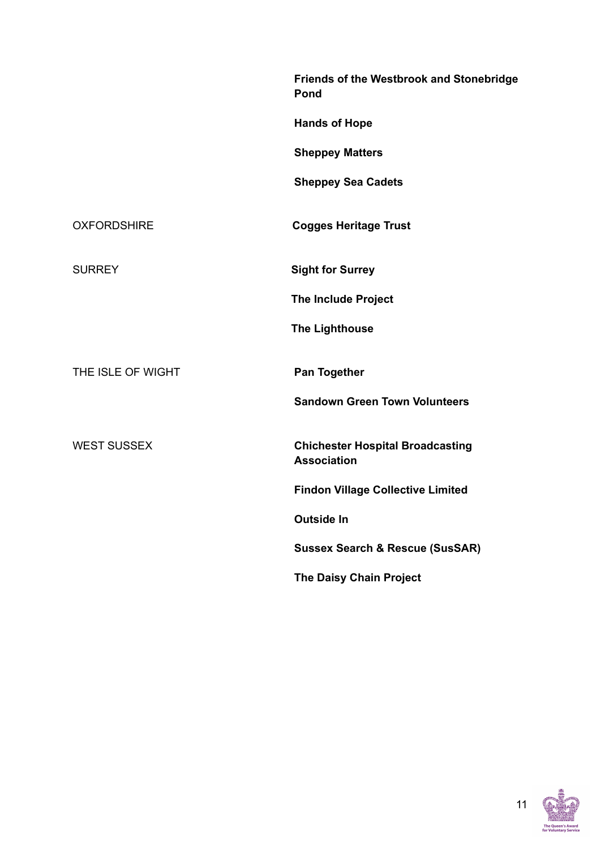|                    | Friends of the Westbrook and Stonebridge<br>Pond              |
|--------------------|---------------------------------------------------------------|
|                    | <b>Hands of Hope</b>                                          |
|                    | <b>Sheppey Matters</b>                                        |
|                    | <b>Sheppey Sea Cadets</b>                                     |
| <b>OXFORDSHIRE</b> | <b>Cogges Heritage Trust</b>                                  |
| <b>SURREY</b>      | <b>Sight for Surrey</b>                                       |
|                    | <b>The Include Project</b>                                    |
|                    | <b>The Lighthouse</b>                                         |
| THE ISLE OF WIGHT  | <b>Pan Together</b>                                           |
|                    | <b>Sandown Green Town Volunteers</b>                          |
| <b>WEST SUSSEX</b> | <b>Chichester Hospital Broadcasting</b><br><b>Association</b> |
|                    | <b>Findon Village Collective Limited</b>                      |
|                    | <b>Outside In</b>                                             |
|                    | <b>Sussex Search &amp; Rescue (SusSAR)</b>                    |
|                    | <b>The Daisy Chain Project</b>                                |

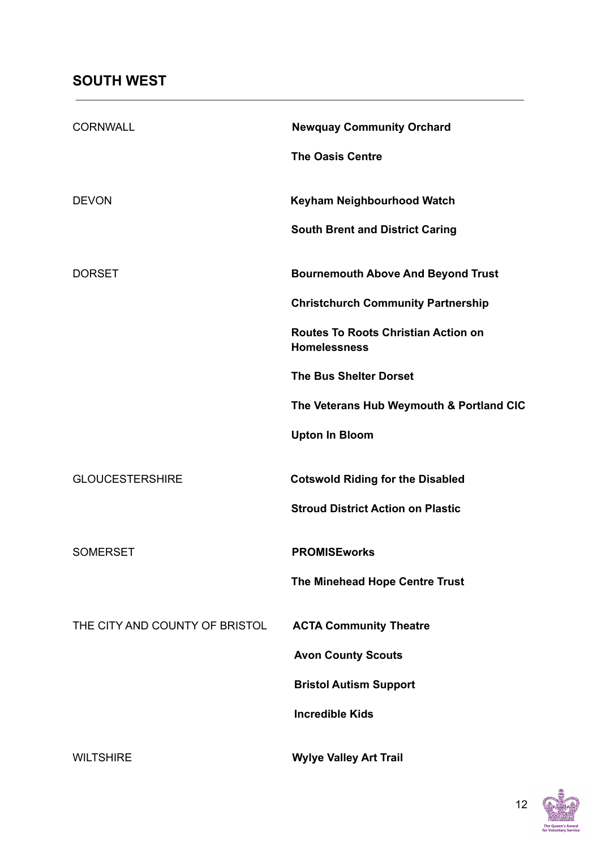| <b>CORNWALL</b>                | <b>Newquay Community Orchard</b>                                  |
|--------------------------------|-------------------------------------------------------------------|
|                                | <b>The Oasis Centre</b>                                           |
| <b>DEVON</b>                   | Keyham Neighbourhood Watch                                        |
|                                | <b>South Brent and District Caring</b>                            |
| <b>DORSET</b>                  | <b>Bournemouth Above And Beyond Trust</b>                         |
|                                | <b>Christchurch Community Partnership</b>                         |
|                                | <b>Routes To Roots Christian Action on</b><br><b>Homelessness</b> |
|                                | <b>The Bus Shelter Dorset</b>                                     |
|                                | The Veterans Hub Weymouth & Portland CIC                          |
|                                | <b>Upton In Bloom</b>                                             |
| <b>GLOUCESTERSHIRE</b>         | <b>Cotswold Riding for the Disabled</b>                           |
|                                | <b>Stroud District Action on Plastic</b>                          |
| <b>SOMERSET</b>                | <b>PROMISEworks</b>                                               |
|                                | The Minehead Hope Centre Trust                                    |
| THE CITY AND COUNTY OF BRISTOL | <b>ACTA Community Theatre</b>                                     |
|                                | <b>Avon County Scouts</b>                                         |
|                                | <b>Bristol Autism Support</b>                                     |
|                                | <b>Incredible Kids</b>                                            |
| <b>WILTSHIRE</b>               | <b>Wylye Valley Art Trail</b>                                     |

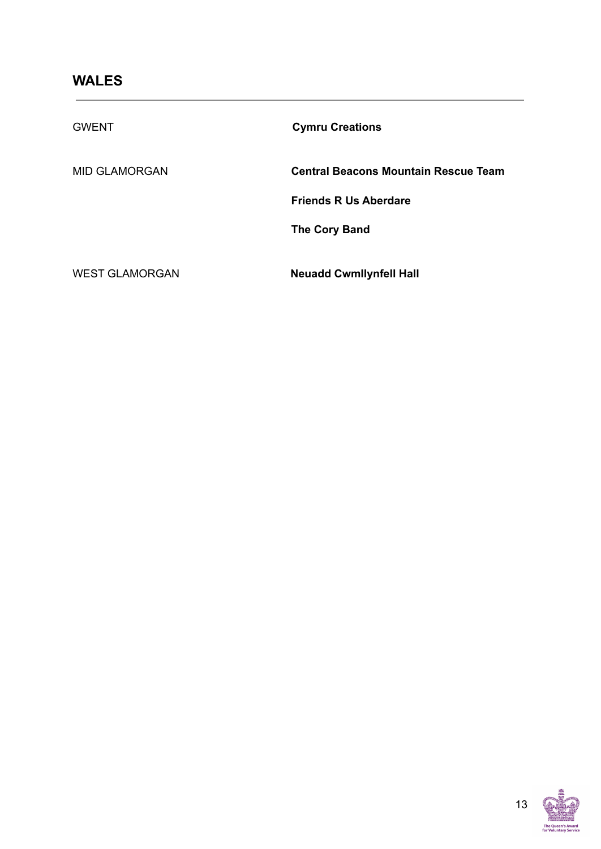| <b>GWENT</b>          | <b>Cymru Creations</b>               |
|-----------------------|--------------------------------------|
| <b>MID GLAMORGAN</b>  | Central Beacons Mountain Rescue Team |
|                       | <b>Friends R Us Aberdare</b>         |
|                       | <b>The Cory Band</b>                 |
| <b>WEST GLAMORGAN</b> | <b>Neuadd Cwmllynfell Hall</b>       |



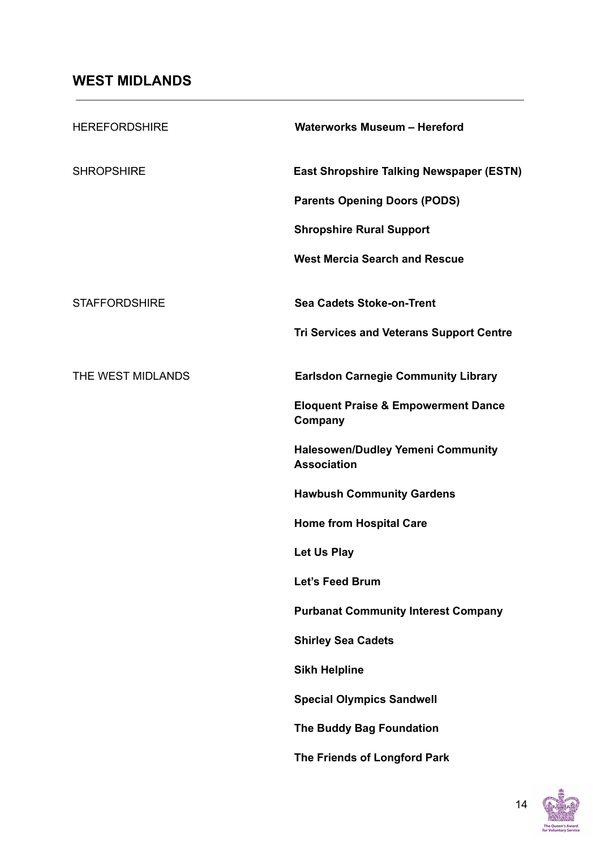| <b>HEREFORDSHIRE</b> | <b>Waterworks Museum - Hereford</b>                            |
|----------------------|----------------------------------------------------------------|
| <b>SHROPSHIRE</b>    | <b>East Shropshire Talking Newspaper (ESTN)</b>                |
|                      | <b>Parents Opening Doors (PODS)</b>                            |
|                      | <b>Shropshire Rural Support</b>                                |
|                      | <b>West Mercia Search and Rescue</b>                           |
| <b>STAFFORDSHIRE</b> | <b>Sea Cadets Stoke-on-Trent</b>                               |
|                      | <b>Tri Services and Veterans Support Centre</b>                |
| THE WEST MIDLANDS    | <b>Earlsdon Carnegie Community Library</b>                     |
|                      | <b>Eloquent Praise &amp; Empowerment Dance</b><br>Company      |
|                      | <b>Halesowen/Dudley Yemeni Community</b><br><b>Association</b> |
|                      | <b>Hawbush Community Gardens</b>                               |
|                      | <b>Home from Hospital Care</b>                                 |
|                      | Let Us Play                                                    |
|                      | Let's Feed Brum                                                |
|                      | <b>Purbanat Community Interest Company</b>                     |
|                      | <b>Shirley Sea Cadets</b>                                      |
|                      | <b>Sikh Helpline</b>                                           |
|                      | <b>Special Olympics Sandwell</b>                               |
|                      | The Buddy Bag Foundation                                       |
|                      | The Friends of Longford Park                                   |

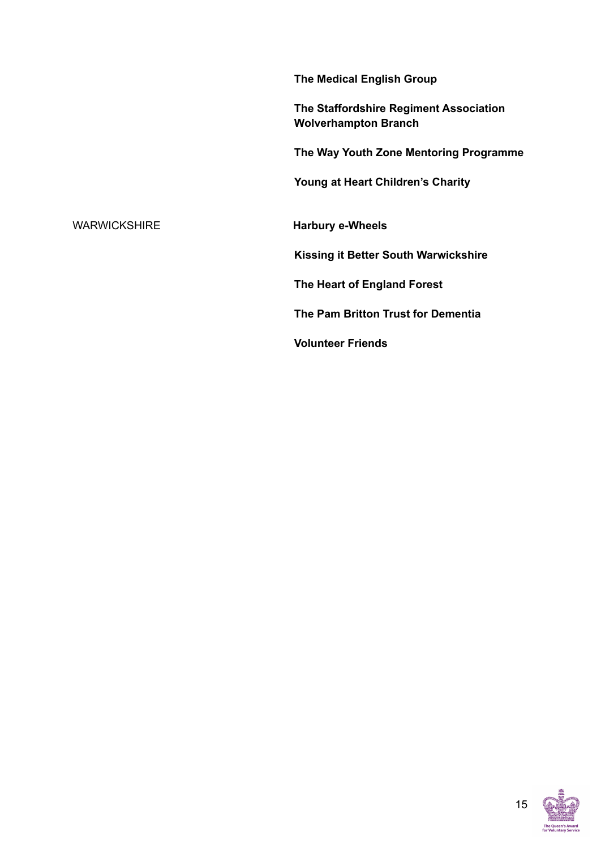**The Medical English Group**

**The Staffordshire Regiment Association Wolverhampton Branch**

**The Way Youth Zone Mentoring Programme**

**Young at Heart Children's Charity**

WARWICKSHIRE **Harbury e-Wheels**

**Kissing it Better South Warwickshire**

**The Heart of England Forest**

**The Pam Britton Trust for Dementia**

**Volunteer Friends**

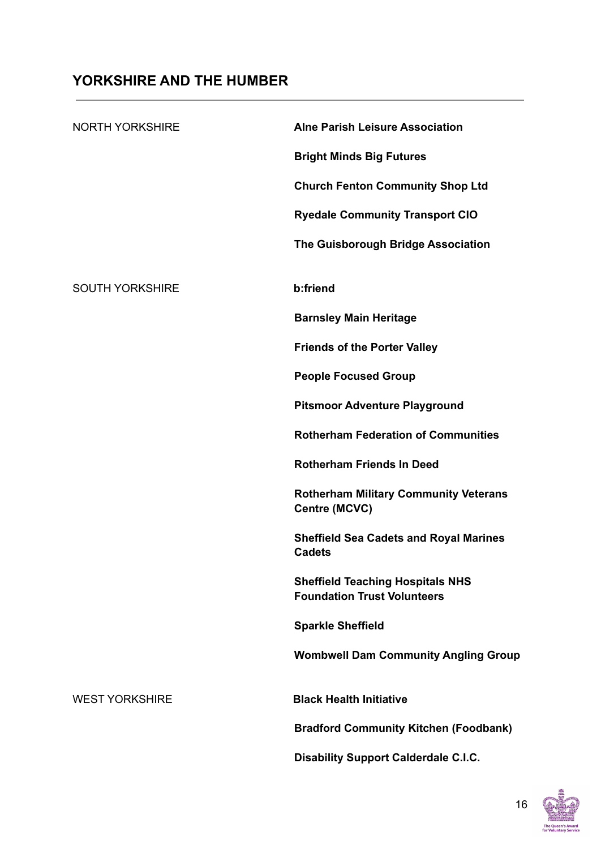## **YORKSHIRE AND THE HUMBER**

| <b>NORTH YORKSHIRE</b> | <b>Alne Parish Leisure Association</b>                                        |
|------------------------|-------------------------------------------------------------------------------|
|                        | <b>Bright Minds Big Futures</b>                                               |
|                        | <b>Church Fenton Community Shop Ltd</b>                                       |
|                        | <b>Ryedale Community Transport CIO</b>                                        |
|                        | The Guisborough Bridge Association                                            |
| <b>SOUTH YORKSHIRE</b> | b:friend                                                                      |
|                        | <b>Barnsley Main Heritage</b>                                                 |
|                        | <b>Friends of the Porter Valley</b>                                           |
|                        | <b>People Focused Group</b>                                                   |
|                        | <b>Pitsmoor Adventure Playground</b>                                          |
|                        | <b>Rotherham Federation of Communities</b>                                    |
|                        | <b>Rotherham Friends In Deed</b>                                              |
|                        | <b>Rotherham Military Community Veterans</b><br>Centre (MCVC)                 |
|                        | <b>Sheffield Sea Cadets and Royal Marines</b><br><b>Cadets</b>                |
|                        | <b>Sheffield Teaching Hospitals NHS</b><br><b>Foundation Trust Volunteers</b> |
|                        | <b>Sparkle Sheffield</b>                                                      |
|                        | <b>Wombwell Dam Community Angling Group</b>                                   |
| <b>WEST YORKSHIRE</b>  | <b>Black Health Initiative</b>                                                |
|                        | <b>Bradford Community Kitchen (Foodbank)</b>                                  |
|                        | <b>Disability Support Calderdale C.I.C.</b>                                   |